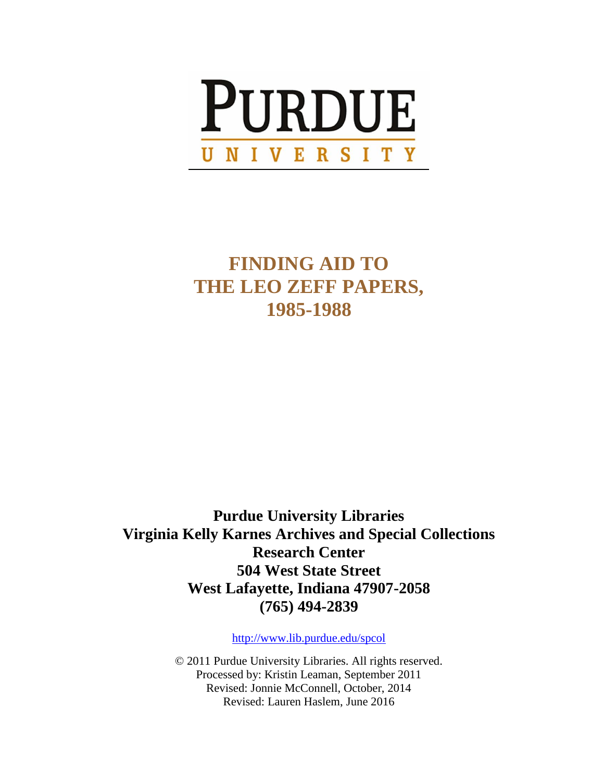

# **FINDING AID TO THE LEO ZEFF PAPERS, 1985-1988**

**Purdue University Libraries Virginia Kelly Karnes Archives and Special Collections Research Center 504 West State Street West Lafayette, Indiana 47907-2058 (765) 494-2839**

<http://www.lib.purdue.edu/spcol>

© 2011 Purdue University Libraries. All rights reserved. Processed by: Kristin Leaman, September 2011 Revised: Jonnie McConnell, October, 2014 Revised: Lauren Haslem, June 2016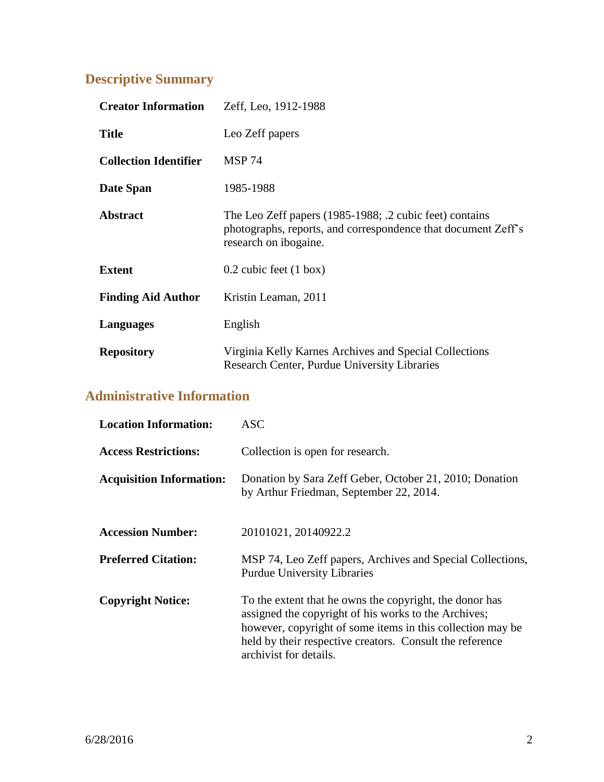# **Descriptive Summary**

| <b>Creator Information</b>   | Zeff, Leo, 1912-1988                                                                                                                              |
|------------------------------|---------------------------------------------------------------------------------------------------------------------------------------------------|
| <b>Title</b>                 | Leo Zeff papers                                                                                                                                   |
| <b>Collection Identifier</b> | <b>MSP 74</b>                                                                                                                                     |
| Date Span                    | 1985-1988                                                                                                                                         |
| <b>Abstract</b>              | The Leo Zeff papers (1985-1988; .2 cubic feet) contains<br>photographs, reports, and correspondence that document Zeff's<br>research on ibogaine. |
| <b>Extent</b>                | $0.2$ cubic feet $(1 \text{ box})$                                                                                                                |
| <b>Finding Aid Author</b>    | Kristin Leaman, 2011                                                                                                                              |
| Languages                    | English                                                                                                                                           |
| <b>Repository</b>            | Virginia Kelly Karnes Archives and Special Collections<br>Research Center, Purdue University Libraries                                            |

## **Administrative Information**

| <b>Location Information:</b>    | ASC.                                                                                                                                                                                                                                                                |
|---------------------------------|---------------------------------------------------------------------------------------------------------------------------------------------------------------------------------------------------------------------------------------------------------------------|
| <b>Access Restrictions:</b>     | Collection is open for research.                                                                                                                                                                                                                                    |
| <b>Acquisition Information:</b> | Donation by Sara Zeff Geber, October 21, 2010; Donation<br>by Arthur Friedman, September 22, 2014.                                                                                                                                                                  |
| <b>Accession Number:</b>        | 20101021, 20140922.2                                                                                                                                                                                                                                                |
| <b>Preferred Citation:</b>      | MSP 74, Leo Zeff papers, Archives and Special Collections,<br><b>Purdue University Libraries</b>                                                                                                                                                                    |
| <b>Copyright Notice:</b>        | To the extent that he owns the copyright, the donor has<br>assigned the copyright of his works to the Archives;<br>however, copyright of some items in this collection may be<br>held by their respective creators. Consult the reference<br>archivist for details. |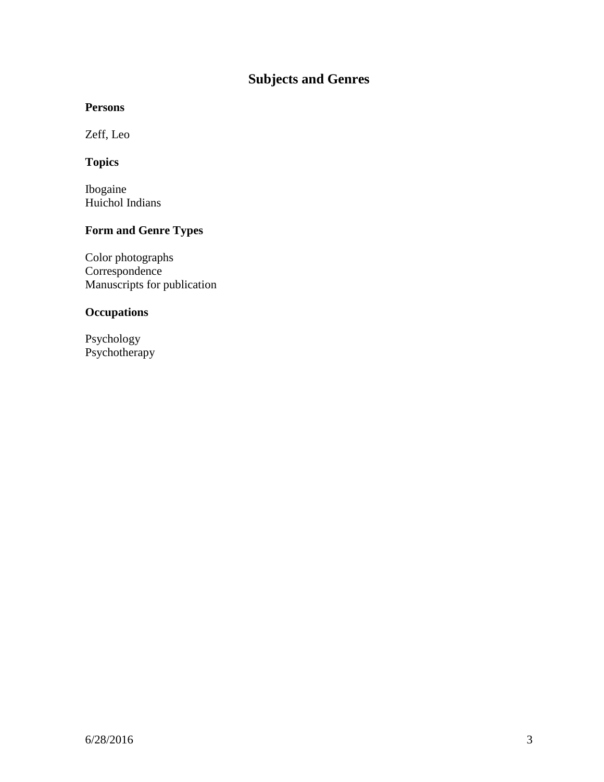# **Subjects and Genres**

### **Persons**

Zeff, Leo

### **Topics**

Ibogaine Huichol Indians

### **Form and Genre Types**

Color photographs Correspondence Manuscripts for publication

### **Occupations**

Psychology Psychotherapy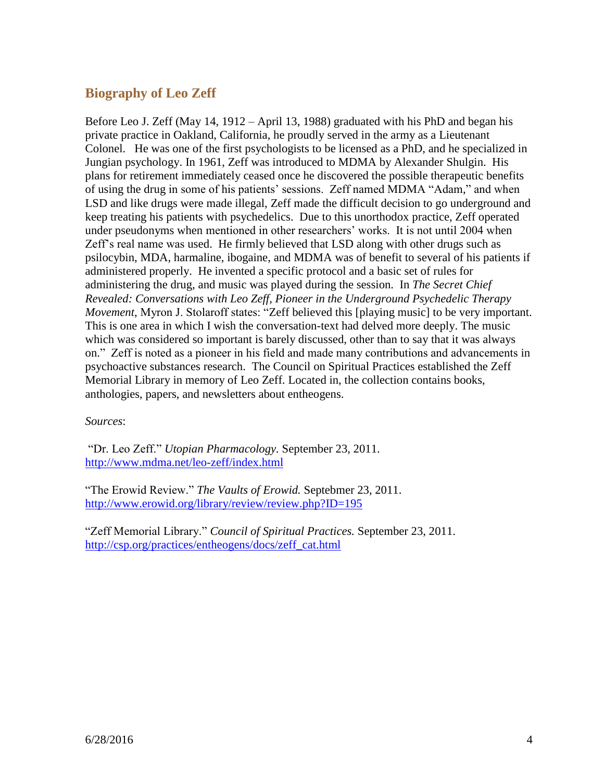### **Biography of Leo Zeff**

Before Leo J. Zeff (May 14, 1912 – April 13, 1988) graduated with his PhD and began his private practice in Oakland, California, he proudly served in the army as a Lieutenant Colonel. He was one of the first psychologists to be licensed as a PhD, and he specialized in Jungian psychology. In 1961, Zeff was introduced to MDMA by Alexander Shulgin. His plans for retirement immediately ceased once he discovered the possible therapeutic benefits of using the drug in some of his patients' sessions. Zeff named MDMA "Adam," and when LSD and like drugs were made illegal, Zeff made the difficult decision to go underground and keep treating his patients with psychedelics. Due to this unorthodox practice, Zeff operated under pseudonyms when mentioned in other researchers' works. It is not until 2004 when Zeff's real name was used. He firmly believed that LSD along with other drugs such as psilocybin, MDA, harmaline, ibogaine, and MDMA was of benefit to several of his patients if administered properly. He invented a specific protocol and a basic set of rules for administering the drug, and music was played during the session. In *The Secret Chief Revealed: Conversations with Leo Zeff, Pioneer in the Underground Psychedelic Therapy Movement*, Myron J. Stolaroff states: "Zeff believed this [playing music] to be very important. This is one area in which I wish the conversation-text had delved more deeply. The music which was considered so important is barely discussed, other than to say that it was always on." Zeff is noted as a pioneer in his field and made many contributions and advancements in psychoactive substances research. The Council on Spiritual Practices established the Zeff Memorial Library in memory of Leo Zeff. Located in, the collection contains books, anthologies, papers, and newsletters about entheogens.

*Sources*:

"Dr. Leo Zeff." *Utopian Pharmacology.* September 23, 2011. <http://www.mdma.net/leo-zeff/index.html>

"The Erowid Review." *The Vaults of Erowid.* Septebmer 23, 2011. <http://www.erowid.org/library/review/review.php?ID=195>

"Zeff Memorial Library." *Council of Spiritual Practices.* September 23, 2011. [http://csp.org/practices/entheogens/docs/zeff\\_cat.html](http://csp.org/practices/entheogens/docs/zeff_cat.html)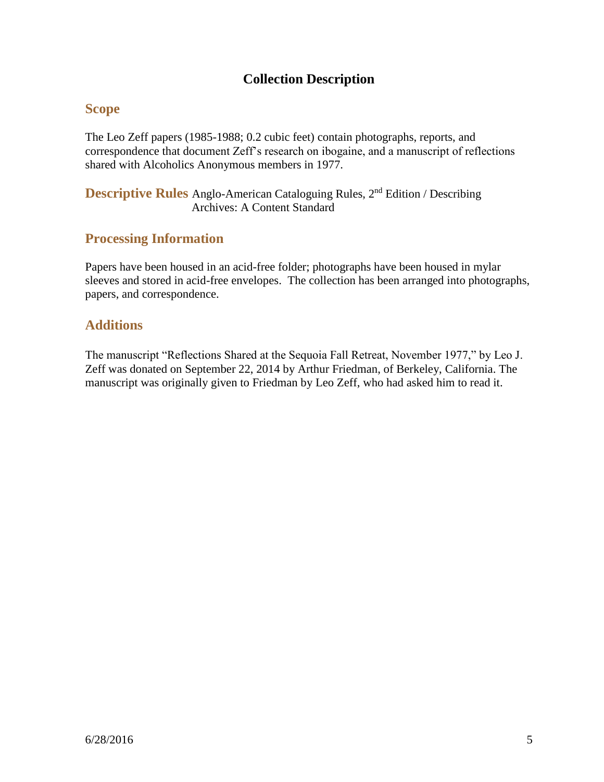### **Collection Description**

### **Scope**

The Leo Zeff papers (1985-1988; 0.2 cubic feet) contain photographs, reports, and correspondence that document Zeff's research on ibogaine, and a manuscript of reflections shared with Alcoholics Anonymous members in 1977.

**Descriptive Rules** Anglo-American Cataloguing Rules, 2<sup>nd</sup> Edition / Describing Archives: A Content Standard

### **Processing Information**

Papers have been housed in an acid-free folder; photographs have been housed in mylar sleeves and stored in acid-free envelopes. The collection has been arranged into photographs, papers, and correspondence.

### **Additions**

The manuscript "Reflections Shared at the Sequoia Fall Retreat, November 1977," by Leo J. Zeff was donated on September 22, 2014 by Arthur Friedman, of Berkeley, California. The manuscript was originally given to Friedman by Leo Zeff, who had asked him to read it.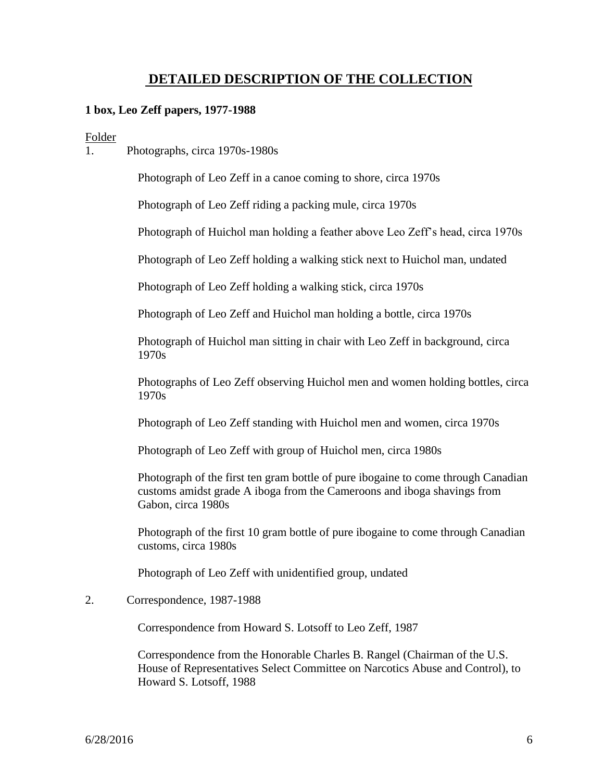### **DETAILED DESCRIPTION OF THE COLLECTION**

#### **1 box, Leo Zeff papers, 1977-1988**

#### Folder

1. Photographs, circa 1970s-1980s

Photograph of Leo Zeff in a canoe coming to shore, circa 1970s

Photograph of Leo Zeff riding a packing mule, circa 1970s

Photograph of Huichol man holding a feather above Leo Zeff's head, circa 1970s

Photograph of Leo Zeff holding a walking stick next to Huichol man, undated

Photograph of Leo Zeff holding a walking stick, circa 1970s

Photograph of Leo Zeff and Huichol man holding a bottle, circa 1970s

Photograph of Huichol man sitting in chair with Leo Zeff in background, circa 1970s

Photographs of Leo Zeff observing Huichol men and women holding bottles, circa 1970s

Photograph of Leo Zeff standing with Huichol men and women, circa 1970s

Photograph of Leo Zeff with group of Huichol men, circa 1980s

Photograph of the first ten gram bottle of pure ibogaine to come through Canadian customs amidst grade A iboga from the Cameroons and iboga shavings from Gabon, circa 1980s

Photograph of the first 10 gram bottle of pure ibogaine to come through Canadian customs, circa 1980s

Photograph of Leo Zeff with unidentified group, undated

2. Correspondence, 1987-1988

Correspondence from Howard S. Lotsoff to Leo Zeff, 1987

Correspondence from the Honorable Charles B. Rangel (Chairman of the U.S. House of Representatives Select Committee on Narcotics Abuse and Control), to Howard S. Lotsoff, 1988